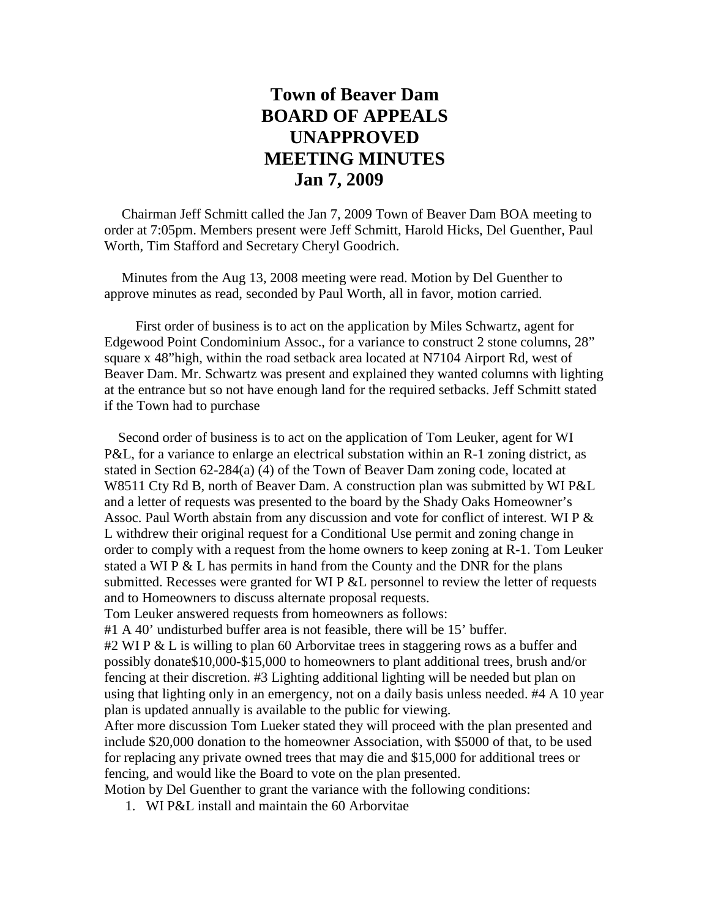## **Town of Beaver Dam BOARD OF APPEALS UNAPPROVED MEETING MINUTES Jan 7, 2009**

 Chairman Jeff Schmitt called the Jan 7, 2009 Town of Beaver Dam BOA meeting to order at 7:05pm. Members present were Jeff Schmitt, Harold Hicks, Del Guenther, Paul Worth, Tim Stafford and Secretary Cheryl Goodrich.

 Minutes from the Aug 13, 2008 meeting were read. Motion by Del Guenther to approve minutes as read, seconded by Paul Worth, all in favor, motion carried.

First order of business is to act on the application by Miles Schwartz, agent for Edgewood Point Condominium Assoc., for a variance to construct 2 stone columns, 28" square x 48"high, within the road setback area located at N7104 Airport Rd, west of Beaver Dam. Mr. Schwartz was present and explained they wanted columns with lighting at the entrance but so not have enough land for the required setbacks. Jeff Schmitt stated if the Town had to purchase

 Second order of business is to act on the application of Tom Leuker, agent for WI P&L, for a variance to enlarge an electrical substation within an R-1 zoning district, as stated in Section 62-284(a) (4) of the Town of Beaver Dam zoning code, located at W8511 Cty Rd B, north of Beaver Dam. A construction plan was submitted by WI P&L and a letter of requests was presented to the board by the Shady Oaks Homeowner's Assoc. Paul Worth abstain from any discussion and vote for conflict of interest. WI P & L withdrew their original request for a Conditional Use permit and zoning change in order to comply with a request from the home owners to keep zoning at R-1. Tom Leuker stated a WI P  $&$  L has permits in hand from the County and the DNR for the plans submitted. Recesses were granted for WI P &L personnel to review the letter of requests and to Homeowners to discuss alternate proposal requests.

Tom Leuker answered requests from homeowners as follows:

#1 A 40' undisturbed buffer area is not feasible, there will be 15' buffer.

#2 WI P & L is willing to plan 60 Arborvitae trees in staggering rows as a buffer and possibly donate\$10,000-\$15,000 to homeowners to plant additional trees, brush and/or fencing at their discretion. #3 Lighting additional lighting will be needed but plan on using that lighting only in an emergency, not on a daily basis unless needed. #4 A 10 year plan is updated annually is available to the public for viewing.

After more discussion Tom Lueker stated they will proceed with the plan presented and include \$20,000 donation to the homeowner Association, with \$5000 of that, to be used for replacing any private owned trees that may die and \$15,000 for additional trees or fencing, and would like the Board to vote on the plan presented.

Motion by Del Guenther to grant the variance with the following conditions:

1. WI P&L install and maintain the 60 Arborvitae